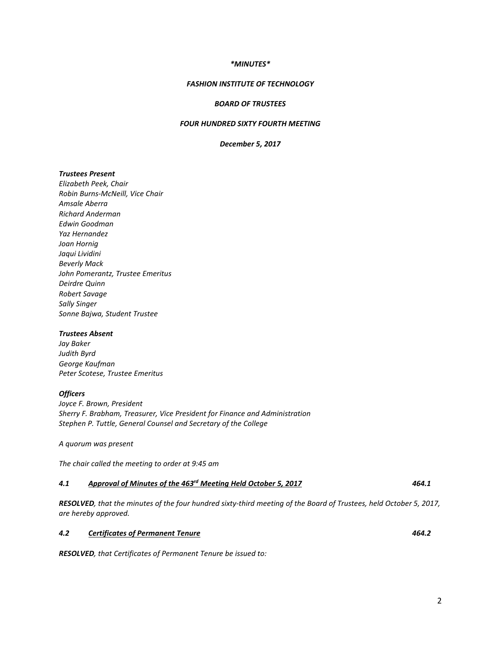#### *\*MINUTES\**

### *FASHION INSTITUTE OF TECHNOLOGY*

#### *BOARD OF TRUSTEES*

## *FOUR HUNDRED SIXTY FOURTH MEETING*

#### *December 5, 2017*

#### *Trustees Present*

*Elizabeth Peek, Chair Robin Burns-McNeill, Vice Chair Amsale Aberra Richard Anderman Edwin Goodman Yaz Hernandez Joan Hornig Jaqui Lividini Beverly Mack John Pomerantz, Trustee Emeritus Deirdre Quinn Robert Savage Sally Singer Sonne Bajwa, Student Trustee*

#### *Trustees Absent*

*Jay Baker Judith Byrd George Kaufman Peter Scotese, Trustee Emeritus*

#### *Officers*

*Joyce F. Brown, President Sherry F. Brabham, Treasurer, Vice President for Finance and Administration Stephen P. Tuttle, General Counsel and Secretary of the College*

*A quorum was present*

*The chair called the meeting to order at 9:45 am*

#### *4.1 Approval of Minutes of the 463rd Meeting Held October 5, 2017 464.1*

*RESOLVED, that the minutes of the four hundred sixty-third meeting of the Board of Trustees, held October 5, 2017, are hereby approved.*

#### *4.2 Certificates of Permanent Tenure 464.2*

*RESOLVED, that Certificates of Permanent Tenure be issued to:*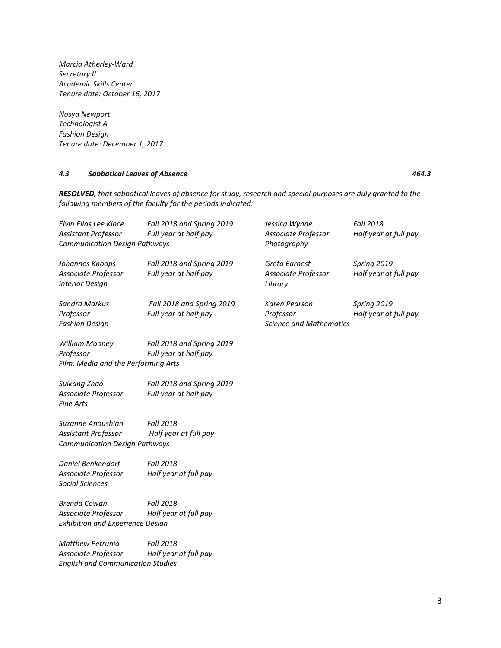*Marcia Atherley-Ward Secretary II Academic Skills Center Tenure date: October 16, 2017* 

*Nasya Newport Technologist A Fashion Design Tenure date: December 1, 2017*

## *4.3 Sabbatical Leaves of Absence 464.3*

*RESOLVED, that sabbatical leaves of absence for study, research and special purposes are duly granted to the following members of the faculty for the periods indicated:*

| Elvin Elias Lee Kince<br>Assistant Professor<br><b>Communication Design Pathways</b>       | Fall 2018 and Spring 2019<br>Full year at half pay | Jessica Wynne<br>Associate Professor<br>Photography          | <b>Fall 2018</b><br>Half year at full pay |
|--------------------------------------------------------------------------------------------|----------------------------------------------------|--------------------------------------------------------------|-------------------------------------------|
| Johannes Knoops<br>Associate Professor<br><b>Interior Design</b>                           | Fall 2018 and Spring 2019<br>Full year at half pay | Greta Earnest<br>Associate Professor<br>Library              | Spring 2019<br>Half year at full pay      |
| Sandra Markus<br>Professor<br><b>Fashion Design</b>                                        | Fall 2018 and Spring 2019<br>Full year at half pay | Karen Pearson<br>Professor<br><b>Science and Mathematics</b> | Spring 2019<br>Half year at full pay      |
| <b>William Mooney</b><br>Professor<br>Film, Media and the Performing Arts                  | Fall 2018 and Spring 2019<br>Full year at half pay |                                                              |                                           |
| Suikang Zhao<br>Associate Professor<br><b>Fine Arts</b>                                    | Fall 2018 and Spring 2019<br>Full year at half pay |                                                              |                                           |
| Suzanne Anoushian<br>Assistant Professor<br><b>Communication Design Pathways</b>           | <b>Fall 2018</b><br>Half year at full pay          |                                                              |                                           |
| Daniel Benkendorf<br>Associate Professor<br><b>Social Sciences</b>                         | <b>Fall 2018</b><br>Half year at full pay          |                                                              |                                           |
| <b>Brenda Cowan</b><br>Associate Professor<br><b>Exhibition and Experience Design</b>      | <b>Fall 2018</b><br>Half year at full pay          |                                                              |                                           |
| <b>Matthew Petrunia</b><br>Associate Professor<br><b>English and Communication Studies</b> | <b>Fall 2018</b><br>Half year at full pay          |                                                              |                                           |